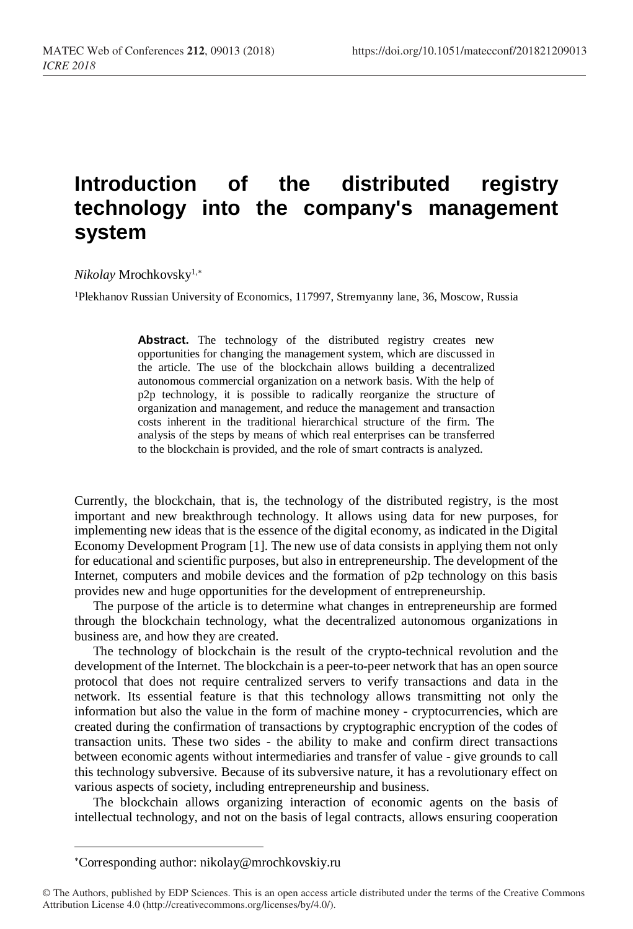## **Introduction of the distributed registry technology into the company's management system**

*Nikolay* Mrochkovsky1,

<sup>1</sup>Plekhanov Russian University of Economics, 117997, Stremyanny lane, 36, Moscow, Russia

Abstract. The technology of the distributed registry creates new opportunities for changing the management system, which are discussed in the article. The use of the blockchain allows building a decentralized autonomous commercial organization on a network basis. With the help of p2p technology, it is possible to radically reorganize the structure of organization and management, and reduce the management and transaction costs inherent in the traditional hierarchical structure of the firm. The analysis of the steps by means of which real enterprises can be transferred to the blockchain is provided, and the role of smart contracts is analyzed.

Currently, the blockchain, that is, the technology of the distributed registry, is the most important and new breakthrough technology. It allows using data for new purposes, for implementing new ideas that is the essence of the digital economy, as indicated in the Digital Economy Development Program [1]. The new use of data consists in applying them not only for educational and scientific purposes, but also in entrepreneurship. The development of the Internet, computers and mobile devices and the formation of p2p technology on this basis provides new and huge opportunities for the development of entrepreneurship.

The purpose of the article is to determine what changes in entrepreneurship are formed through the blockchain technology, what the decentralized autonomous organizations in business are, and how they are created.

The technology of blockchain is the result of the crypto-technical revolution and the development of the Internet. The blockchain is a peer-to-peer network that has an open source protocol that does not require centralized servers to verify transactions and data in the network. Its essential feature is that this technology allows transmitting not only the information but also the value in the form of machine money - cryptocurrencies, which are created during the confirmation of transactions by cryptographic encryption of the codes of transaction units. These two sides - the ability to make and confirm direct transactions between economic agents without intermediaries and transfer of value - give grounds to call this technology subversive. Because of its subversive nature, it has a revolutionary effect on various aspects of society, including entrepreneurship and business.

The blockchain allows organizing interaction of economic agents on the basis of intellectual technology, and not on the basis of legal contracts, allows ensuring cooperation

l

Corresponding author: nikolay@mrochkovskiy.ru

<sup>©</sup> The Authors, published by EDP Sciences. This is an open access article distributed under the terms of the Creative Commons Attribution License 4.0 (http://creativecommons.org/licenses/by/4.0/).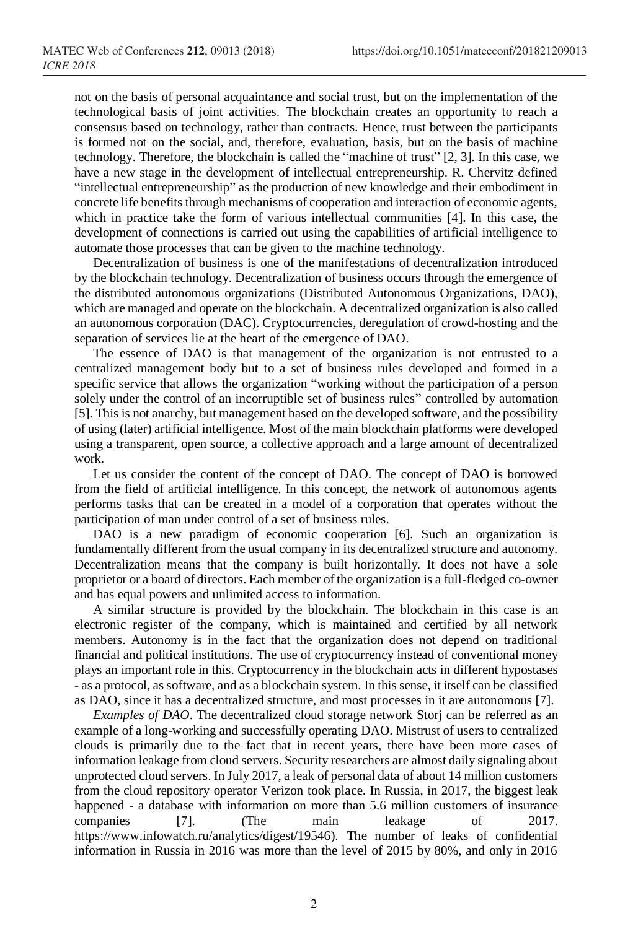not on the basis of personal acquaintance and social trust, but on the implementation of the technological basis of joint activities. The blockchain creates an opportunity to reach a consensus based on technology, rather than contracts. Hence, trust between the participants is formed not on the social, and, therefore, evaluation, basis, but on the basis of machine technology. Therefore, the blockchain is called the "machine of trust" [2, 3]. In this case, we have a new stage in the development of intellectual entrepreneurship. R. Chervitz defined "intellectual entrepreneurship" as the production of new knowledge and their embodiment in concrete life benefits through mechanisms of cooperation and interaction of economic agents, which in practice take the form of various intellectual communities [4]. In this case, the development of connections is carried out using the capabilities of artificial intelligence to automate those processes that can be given to the machine technology.

Decentralization of business is one of the manifestations of decentralization introduced by the blockchain technology. Decentralization of business occurs through the emergence of the distributed autonomous organizations (Distributed Autonomous Organizations, DAO), which are managed and operate on the blockchain. A decentralized organization is also called an autonomous corporation (DAC). Cryptocurrencies, deregulation of crowd-hosting and the separation of services lie at the heart of the emergence of DAO.

The essence of DAO is that management of the organization is not entrusted to a centralized management body but to a set of business rules developed and formed in a specific service that allows the organization "working without the participation of a person solely under the control of an incorruptible set of business rules" controlled by automation [5]. This is not anarchy, but management based on the developed software, and the possibility of using (later) artificial intelligence. Most of the main blockchain platforms were developed using a transparent, open source, a collective approach and a large amount of decentralized work.

Let us consider the content of the concept of DAO. The concept of DAO is borrowed from the field of artificial intelligence. In this concept, the network of autonomous agents performs tasks that can be created in a model of a corporation that operates without the participation of man under control of a set of business rules.

DAO is a new paradigm of economic cooperation [6]. Such an organization is fundamentally different from the usual company in its decentralized structure and autonomy. Decentralization means that the company is built horizontally. It does not have a sole proprietor or a board of directors. Each member of the organization is a full-fledged co-owner and has equal powers and unlimited access to information.

A similar structure is provided by the blockchain. The blockchain in this case is an electronic register of the company, which is maintained and certified by all network members. Autonomy is in the fact that the organization does not depend on traditional financial and political institutions. The use of cryptocurrency instead of conventional money plays an important role in this. Cryptocurrency in the blockchain acts in different hypostases - as a protocol, as software, and as a blockchain system. In this sense, it itself can be classified as DAO, since it has a decentralized structure, and most processes in it are autonomous [7].

*Examples of DAO*. The decentralized cloud storage network Storj can be referred as an example of a long-working and successfully operating DAO. Mistrust of users to centralized clouds is primarily due to the fact that in recent years, there have been more cases of information leakage from cloud servers. Security researchers are almost daily signaling about unprotected cloud servers. In July 2017, a leak of personal data of about 14 million customers from the cloud repository operator Verizon took place. In Russia, in 2017, the biggest leak happened - a database with information on more than 5.6 million customers of insurance companies [7]. (The main leakage of 2017. https://www.infowatch.ru/analytics/digest/19546). The number of leaks of confidential information in Russia in 2016 was more than the level of 2015 by 80%, and only in 2016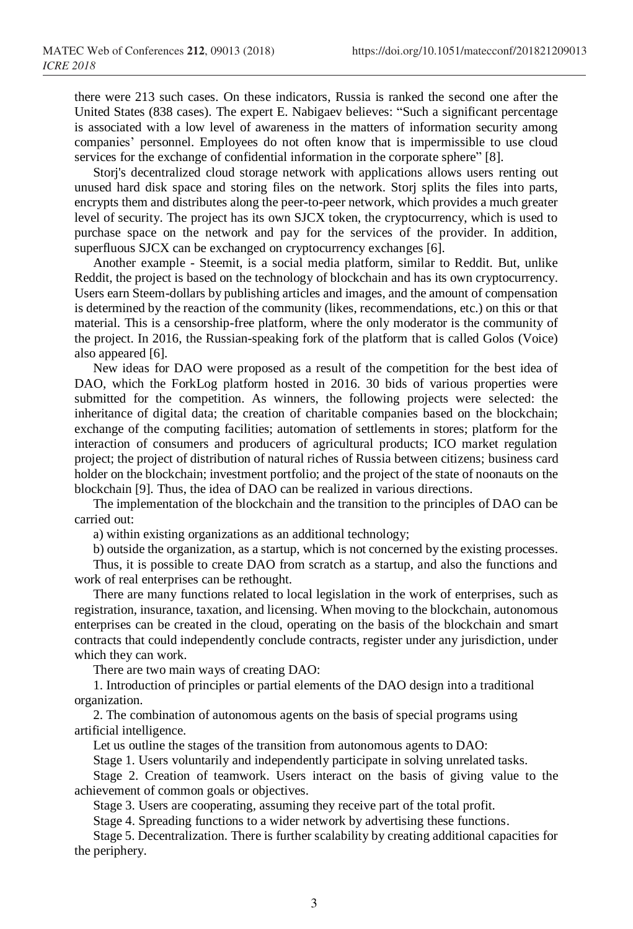there were 213 such cases. On these indicators, Russia is ranked the second one after the United States (838 cases). The expert E. Nabigaev believes: "Such a significant percentage is associated with a low level of awareness in the matters of information security among companies' personnel. Employees do not often know that is impermissible to use cloud services for the exchange of confidential information in the corporate sphere" [8].

Storj's decentralized cloud storage network with applications allows users renting out unused hard disk space and storing files on the network. Storj splits the files into parts, encrypts them and distributes along the peer-to-peer network, which provides a much greater level of security. The project has its own SJCX token, the cryptocurrency, which is used to purchase space on the network and pay for the services of the provider. In addition, superfluous SJCX can be exchanged on cryptocurrency exchanges [6].

Another example - Steemit, is a social media platform, similar to Reddit. But, unlike Reddit, the project is based on the technology of blockchain and has its own cryptocurrency. Users earn Steem-dollars by publishing articles and images, and the amount of compensation is determined by the reaction of the community (likes, recommendations, etc.) on this or that material. This is a censorship-free platform, where the only moderator is the community of the project. In 2016, the Russian-speaking fork of the platform that is called Golos (Voice) also appeared [6].

New ideas for DAO were proposed as a result of the competition for the best idea of DAO, which the ForkLog platform hosted in 2016. 30 bids of various properties were submitted for the competition. As winners, the following projects were selected: the inheritance of digital data; the creation of charitable companies based on the blockchain; exchange of the computing facilities; automation of settlements in stores; platform for the interaction of consumers and producers of agricultural products; ICO market regulation project; the project of distribution of natural riches of Russia between citizens; business card holder on the blockchain; investment portfolio; and the project of the state of noonauts on the blockchain [9]. Thus, the idea of DAO can be realized in various directions.

The implementation of the blockchain and the transition to the principles of DAO can be carried out:

a) within existing organizations as an additional technology;

b) outside the organization, as a startup, which is not concerned by the existing processes.

Thus, it is possible to create DAO from scratch as a startup, and also the functions and work of real enterprises can be rethought.

There are many functions related to local legislation in the work of enterprises, such as registration, insurance, taxation, and licensing. When moving to the blockchain, autonomous enterprises can be created in the cloud, operating on the basis of the blockchain and smart contracts that could independently conclude contracts, register under any jurisdiction, under which they can work.

There are two main ways of creating DAO:

1. Introduction of principles or partial elements of the DAO design into a traditional organization.

2. The combination of autonomous agents on the basis of special programs using artificial intelligence.

Let us outline the stages of the transition from autonomous agents to DAO:

Stage 1. Users voluntarily and independently participate in solving unrelated tasks.

Stage 2. Creation of teamwork. Users interact on the basis of giving value to the achievement of common goals or objectives.

Stage 3. Users are cooperating, assuming they receive part of the total profit.

Stage 4. Spreading functions to a wider network by advertising these functions.

Stage 5. Decentralization. There is further scalability by creating additional capacities for the periphery.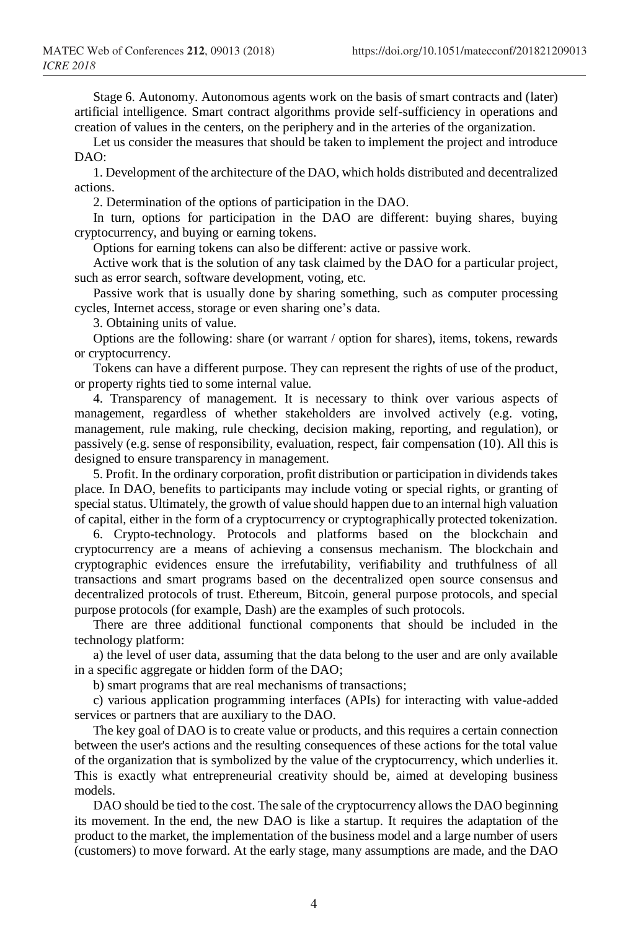Stage 6. Autonomy. Autonomous agents work on the basis of smart contracts and (later) artificial intelligence. Smart contract algorithms provide self-sufficiency in operations and creation of values in the centers, on the periphery and in the arteries of the organization.

Let us consider the measures that should be taken to implement the project and introduce DAO:

1. Development of the architecture of the DAO, which holds distributed and decentralized actions.

2. Determination of the options of participation in the DAO.

In turn, options for participation in the DAO are different: buying shares, buying cryptocurrency, and buying or earning tokens.

Options for earning tokens can also be different: active or passive work.

Active work that is the solution of any task claimed by the DAO for a particular project, such as error search, software development, voting, etc.

Passive work that is usually done by sharing something, such as computer processing cycles, Internet access, storage or even sharing one's data.

3. Obtaining units of value.

Options are the following: share (or warrant / option for shares), items, tokens, rewards or cryptocurrency.

Tokens can have a different purpose. They can represent the rights of use of the product, or property rights tied to some internal value.

4. Transparency of management. It is necessary to think over various aspects of management, regardless of whether stakeholders are involved actively (e.g. voting, management, rule making, rule checking, decision making, reporting, and regulation), or passively (e.g. sense of responsibility, evaluation, respect, fair compensation (10). All this is designed to ensure transparency in management.

5. Profit. In the ordinary corporation, profit distribution or participation in dividends takes place. In DAO, benefits to participants may include voting or special rights, or granting of special status. Ultimately, the growth of value should happen due to an internal high valuation of capital, either in the form of a cryptocurrency or cryptographically protected tokenization.

6. Crypto-technology. Protocols and platforms based on the blockchain and cryptocurrency are a means of achieving a consensus mechanism. The blockchain and cryptographic evidences ensure the irrefutability, verifiability and truthfulness of all transactions and smart programs based on the decentralized open source consensus and decentralized protocols of trust. Ethereum, Bitcoin, general purpose protocols, and special purpose protocols (for example, Dash) are the examples of such protocols.

There are three additional functional components that should be included in the technology platform:

a) the level of user data, assuming that the data belong to the user and are only available in a specific aggregate or hidden form of the DAO;

b) smart programs that are real mechanisms of transactions;

c) various application programming interfaces (APIs) for interacting with value-added services or partners that are auxiliary to the DAO.

The key goal of DAO is to create value or products, and this requires a certain connection between the user's actions and the resulting consequences of these actions for the total value of the organization that is symbolized by the value of the cryptocurrency, which underlies it. This is exactly what entrepreneurial creativity should be, aimed at developing business models.

DAO should be tied to the cost. The sale of the cryptocurrency allows the DAO beginning its movement. In the end, the new DAO is like a startup. It requires the adaptation of the product to the market, the implementation of the business model and a large number of users (customers) to move forward. At the early stage, many assumptions are made, and the DAO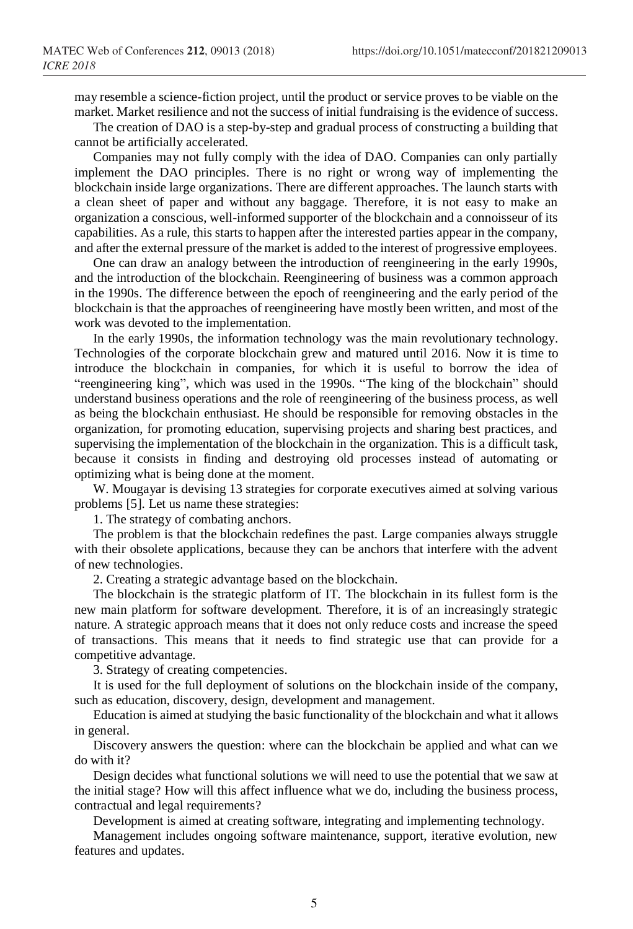may resemble a science-fiction project, until the product or service proves to be viable on the market. Market resilience and not the success of initial fundraising is the evidence of success.

The creation of DAO is a step-by-step and gradual process of constructing a building that cannot be artificially accelerated.

Companies may not fully comply with the idea of DAO. Companies can only partially implement the DAO principles. There is no right or wrong way of implementing the blockchain inside large organizations. There are different approaches. The launch starts with a clean sheet of paper and without any baggage. Therefore, it is not easy to make an organization a conscious, well-informed supporter of the blockchain and a connoisseur of its capabilities. As a rule, this starts to happen after the interested parties appear in the company, and after the external pressure of the market is added to the interest of progressive employees.

One can draw an analogy between the introduction of reengineering in the early 1990s, and the introduction of the blockchain. Reengineering of business was a common approach in the 1990s. The difference between the epoch of reengineering and the early period of the blockchain is that the approaches of reengineering have mostly been written, and most of the work was devoted to the implementation.

In the early 1990s, the information technology was the main revolutionary technology. Technologies of the corporate blockchain grew and matured until 2016. Now it is time to introduce the blockchain in companies, for which it is useful to borrow the idea of "reengineering king", which was used in the 1990s. "The king of the blockchain" should understand business operations and the role of reengineering of the business process, as well as being the blockchain enthusiast. He should be responsible for removing obstacles in the organization, for promoting education, supervising projects and sharing best practices, and supervising the implementation of the blockchain in the organization. This is a difficult task, because it consists in finding and destroying old processes instead of automating or optimizing what is being done at the moment.

W. Mougayar is devising 13 strategies for corporate executives aimed at solving various problems [5]. Let us name these strategies:

1. The strategy of combating anchors.

The problem is that the blockchain redefines the past. Large companies always struggle with their obsolete applications, because they can be anchors that interfere with the advent of new technologies.

2. Creating a strategic advantage based on the blockchain.

The blockchain is the strategic platform of IT. The blockchain in its fullest form is the new main platform for software development. Therefore, it is of an increasingly strategic nature. A strategic approach means that it does not only reduce costs and increase the speed of transactions. This means that it needs to find strategic use that can provide for a competitive advantage.

3. Strategy of creating competencies.

It is used for the full deployment of solutions on the blockchain inside of the company, such as education, discovery, design, development and management.

Education is aimed at studying the basic functionality of the blockchain and what it allows in general.

Discovery answers the question: where can the blockchain be applied and what can we do with it?

Design decides what functional solutions we will need to use the potential that we saw at the initial stage? How will this affect influence what we do, including the business process, contractual and legal requirements?

Development is aimed at creating software, integrating and implementing technology.

Management includes ongoing software maintenance, support, iterative evolution, new features and updates.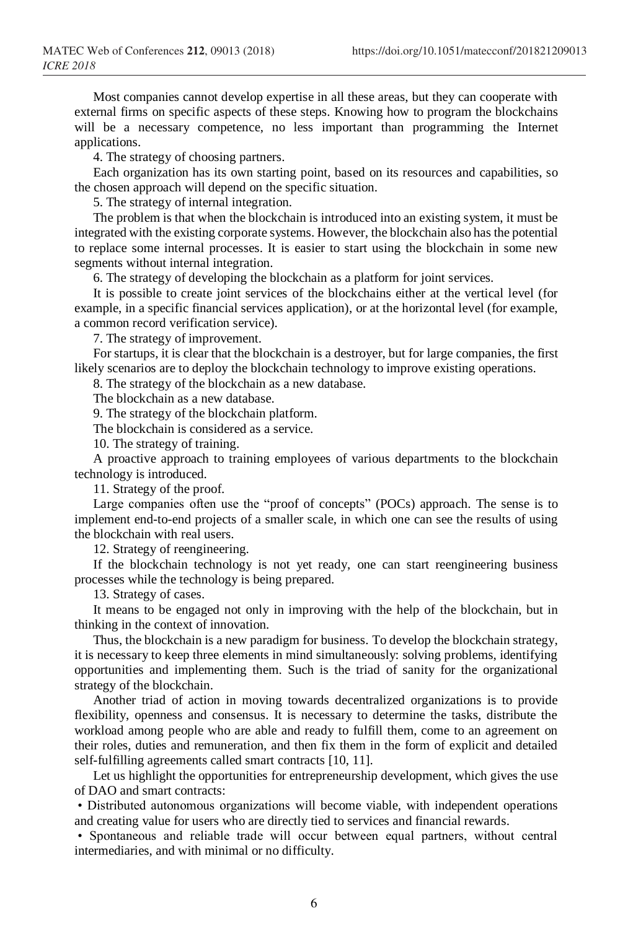Most companies cannot develop expertise in all these areas, but they can cooperate with external firms on specific aspects of these steps. Knowing how to program the blockchains will be a necessary competence, no less important than programming the Internet applications.

4. The strategy of choosing partners.

Each organization has its own starting point, based on its resources and capabilities, so the chosen approach will depend on the specific situation.

5. The strategy of internal integration.

The problem is that when the blockchain is introduced into an existing system, it must be integrated with the existing corporate systems. However, the blockchain also has the potential to replace some internal processes. It is easier to start using the blockchain in some new segments without internal integration.

6. The strategy of developing the blockchain as a platform for joint services.

It is possible to create joint services of the blockchains either at the vertical level (for example, in a specific financial services application), or at the horizontal level (for example, a common record verification service).

7. The strategy of improvement.

For startups, it is clear that the blockchain is a destroyer, but for large companies, the first likely scenarios are to deploy the blockchain technology to improve existing operations.

8. The strategy of the blockchain as a new database.

The blockchain as a new database.

9. The strategy of the blockchain platform.

The blockchain is considered as a service.

10. The strategy of training.

A proactive approach to training employees of various departments to the blockchain technology is introduced.

11. Strategy of the proof.

Large companies often use the "proof of concepts" (POCs) approach. The sense is to implement end-to-end projects of a smaller scale, in which one can see the results of using the blockchain with real users.

12. Strategy of reengineering.

If the blockchain technology is not yet ready, one can start reengineering business processes while the technology is being prepared.

13. Strategy of cases.

It means to be engaged not only in improving with the help of the blockchain, but in thinking in the context of innovation.

Thus, the blockchain is a new paradigm for business. To develop the blockchain strategy, it is necessary to keep three elements in mind simultaneously: solving problems, identifying opportunities and implementing them. Such is the triad of sanity for the organizational strategy of the blockchain.

Another triad of action in moving towards decentralized organizations is to provide flexibility, openness and consensus. It is necessary to determine the tasks, distribute the workload among people who are able and ready to fulfill them, come to an agreement on their roles, duties and remuneration, and then fix them in the form of explicit and detailed self-fulfilling agreements called smart contracts [10, 11].

Let us highlight the opportunities for entrepreneurship development, which gives the use of DAO and smart contracts:

• Distributed autonomous organizations will become viable, with independent operations and creating value for users who are directly tied to services and financial rewards.

• Spontaneous and reliable trade will occur between equal partners, without central intermediaries, and with minimal or no difficulty.